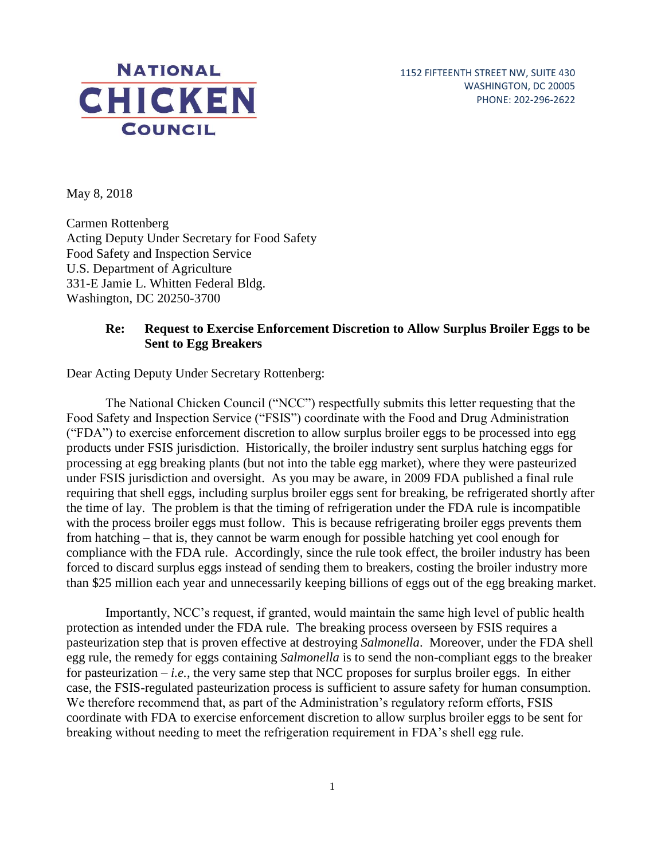

1152 FIFTEENTH STREET NW, SUITE 430 WASHINGTON, DC 20005 PHONE: 202-296-2622

May 8, 2018

Carmen Rottenberg Acting Deputy Under Secretary for Food Safety Food Safety and Inspection Service U.S. Department of Agriculture 331-E Jamie L. Whitten Federal Bldg. Washington, DC 20250-3700

## **Re: Request to Exercise Enforcement Discretion to Allow Surplus Broiler Eggs to be Sent to Egg Breakers**

Dear Acting Deputy Under Secretary Rottenberg:

 under FSIS jurisdiction and oversight. As you may be aware, in 2009 FDA published a final rule The National Chicken Council ("NCC") respectfully submits this letter requesting that the Food Safety and Inspection Service ("FSIS") coordinate with the Food and Drug Administration ("FDA") to exercise enforcement discretion to allow surplus broiler eggs to be processed into egg products under FSIS jurisdiction. Historically, the broiler industry sent surplus hatching eggs for processing at egg breaking plants (but not into the table egg market), where they were pasteurized requiring that shell eggs, including surplus broiler eggs sent for breaking, be refrigerated shortly after the time of lay. The problem is that the timing of refrigeration under the FDA rule is incompatible with the process broiler eggs must follow. This is because refrigerating broiler eggs prevents them from hatching – that is, they cannot be warm enough for possible hatching yet cool enough for compliance with the FDA rule. Accordingly, since the rule took effect, the broiler industry has been forced to discard surplus eggs instead of sending them to breakers, costing the broiler industry more than \$25 million each year and unnecessarily keeping billions of eggs out of the egg breaking market.

Importantly, NCC's request, if granted, would maintain the same high level of public health protection as intended under the FDA rule. The breaking process overseen by FSIS requires a pasteurization step that is proven effective at destroying *Salmonella*. Moreover, under the FDA shell egg rule, the remedy for eggs containing *Salmonella* is to send the non-compliant eggs to the breaker for pasteurization – *i.e.*, the very same step that NCC proposes for surplus broiler eggs. In either case, the FSIS-regulated pasteurization process is sufficient to assure safety for human consumption. We therefore recommend that, as part of the Administration's regulatory reform efforts, FSIS coordinate with FDA to exercise enforcement discretion to allow surplus broiler eggs to be sent for breaking without needing to meet the refrigeration requirement in FDA's shell egg rule.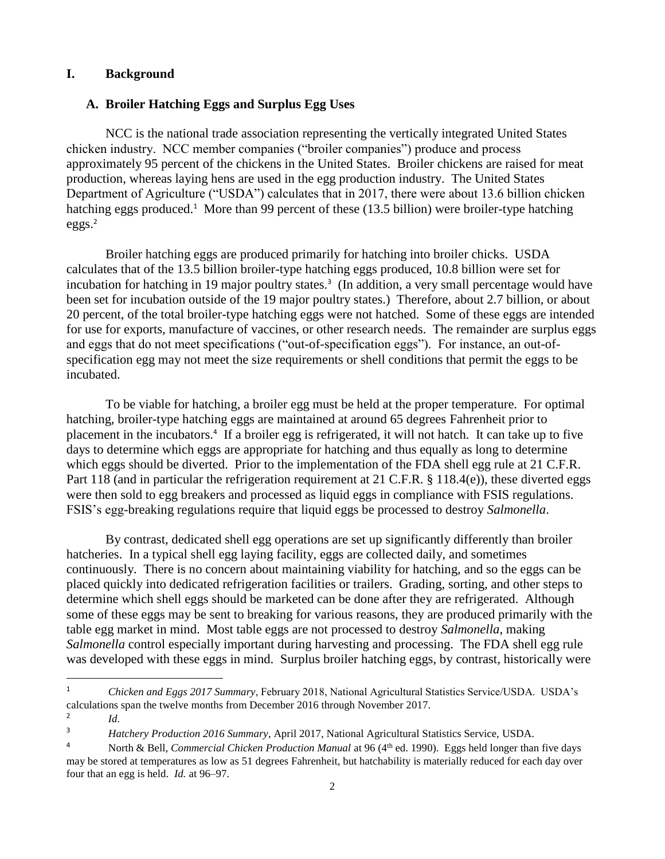### **I. Background**

#### **A. Broiler Hatching Eggs and Surplus Egg Uses**

hatching eggs produced.<sup>1</sup> More than 99 percent of these (13.5 billion) were broiler-type hatching NCC is the national trade association representing the vertically integrated United States chicken industry. NCC member companies ("broiler companies") produce and process approximately 95 percent of the chickens in the United States. Broiler chickens are raised for meat production, whereas laying hens are used in the egg production industry. The United States Department of Agriculture ("USDA") calculates that in 2017, there were about 13.6 billion chicken  $eggs.<sup>2</sup>$ 

incubation for hatching in 19 major poultry states.<sup>3</sup> (In addition, a very small percentage would have Broiler hatching eggs are produced primarily for hatching into broiler chicks. USDA calculates that of the 13.5 billion broiler-type hatching eggs produced, 10.8 billion were set for been set for incubation outside of the 19 major poultry states.) Therefore, about 2.7 billion, or about 20 percent, of the total broiler-type hatching eggs were not hatched. Some of these eggs are intended for use for exports, manufacture of vaccines, or other research needs. The remainder are surplus eggs and eggs that do not meet specifications ("out-of-specification eggs"). For instance, an out-ofspecification egg may not meet the size requirements or shell conditions that permit the eggs to be incubated.

 placement in the incubators.4 If a broiler egg is refrigerated, it will not hatch. It can take up to five To be viable for hatching, a broiler egg must be held at the proper temperature. For optimal hatching, broiler-type hatching eggs are maintained at around 65 degrees Fahrenheit prior to days to determine which eggs are appropriate for hatching and thus equally as long to determine which eggs should be diverted. Prior to the implementation of the FDA shell egg rule at 21 C.F.R. Part 118 (and in particular the refrigeration requirement at 21 C.F.R. § 118.4(e)), these diverted eggs were then sold to egg breakers and processed as liquid eggs in compliance with FSIS regulations. FSIS's egg-breaking regulations require that liquid eggs be processed to destroy *Salmonella*.

 determine which shell eggs should be marketed can be done after they are refrigerated. Although By contrast, dedicated shell egg operations are set up significantly differently than broiler hatcheries. In a typical shell egg laying facility, eggs are collected daily, and sometimes continuously. There is no concern about maintaining viability for hatching, and so the eggs can be placed quickly into dedicated refrigeration facilities or trailers. Grading, sorting, and other steps to some of these eggs may be sent to breaking for various reasons, they are produced primarily with the table egg market in mind. Most table eggs are not processed to destroy *Salmonella*, making *Salmonella* control especially important during harvesting and processing. The FDA shell egg rule was developed with these eggs in mind. Surplus broiler hatching eggs, by contrast, historically were

 $\overline{\phantom{a}}$ 

<sup>&</sup>lt;sup>1</sup> Chicken and Eggs 2017 Summary, February 2018, National Agricultural Statistics Service/USDA. USDA's calculations span the twelve months from December 2016 through November 2017.

 $\frac{2}{1}$  *Id.* 

<sup>&</sup>lt;sup>3</sup> *Hatchery Production 2016 Summary*, April 2017, National Agricultural Statistics Service, USDA.

<sup>&</sup>lt;sup>4</sup> North & Bell, *Commercial Chicken Production Manual* at 96 (4<sup>th</sup> ed. 1990). Eggs held longer than five days may be stored at temperatures as low as 51 degrees Fahrenheit, but hatchability is materially reduced for each day over four that an egg is held. *Id.* at 96–97.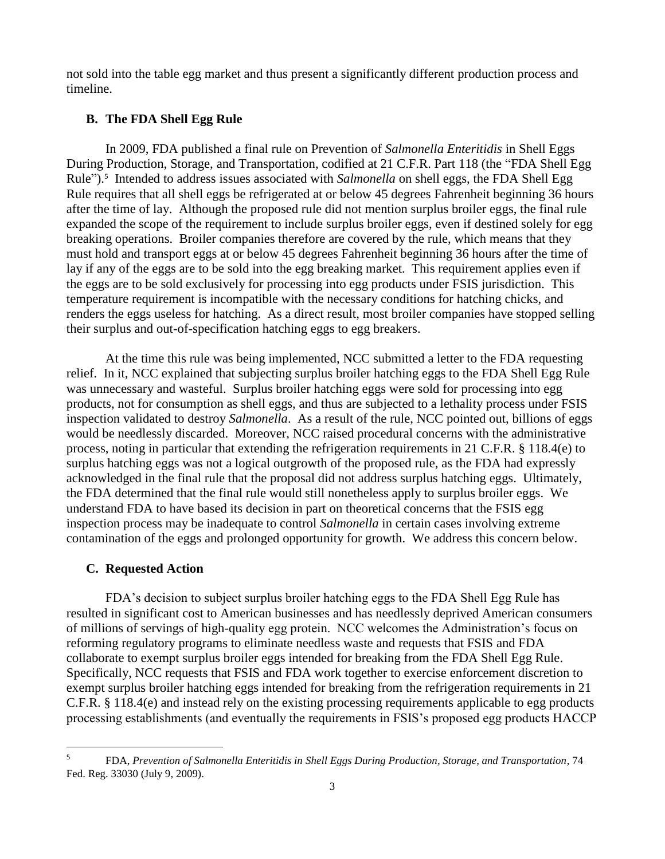not sold into the table egg market and thus present a significantly different production process and timeline.

### **B. The FDA Shell Egg Rule**

 expanded the scope of the requirement to include surplus broiler eggs, even if destined solely for egg lay if any of the eggs are to be sold into the egg breaking market. This requirement applies even if temperature requirement is incompatible with the necessary conditions for hatching chicks, and In 2009, FDA published a final rule on Prevention of *Salmonella Enteritidis* in Shell Eggs During Production, Storage, and Transportation, codified at 21 C.F.R. Part 118 (the "FDA Shell Egg Rule").5 Intended to address issues associated with *Salmonella* on shell eggs, the FDA Shell Egg Rule requires that all shell eggs be refrigerated at or below 45 degrees Fahrenheit beginning 36 hours after the time of lay. Although the proposed rule did not mention surplus broiler eggs, the final rule breaking operations. Broiler companies therefore are covered by the rule, which means that they must hold and transport eggs at or below 45 degrees Fahrenheit beginning 36 hours after the time of the eggs are to be sold exclusively for processing into egg products under FSIS jurisdiction. This renders the eggs useless for hatching. As a direct result, most broiler companies have stopped selling their surplus and out-of-specification hatching eggs to egg breakers.

 At the time this rule was being implemented, NCC submitted a letter to the FDA requesting relief. In it, NCC explained that subjecting surplus broiler hatching eggs to the FDA Shell Egg Rule was unnecessary and wasteful. Surplus broiler hatching eggs were sold for processing into egg products, not for consumption as shell eggs, and thus are subjected to a lethality process under FSIS inspection validated to destroy *Salmonella*. As a result of the rule, NCC pointed out, billions of eggs would be needlessly discarded. Moreover, NCC raised procedural concerns with the administrative process, noting in particular that extending the refrigeration requirements in 21 C.F.R. § 118.4(e) to surplus hatching eggs was not a logical outgrowth of the proposed rule, as the FDA had expressly acknowledged in the final rule that the proposal did not address surplus hatching eggs. Ultimately, the FDA determined that the final rule would still nonetheless apply to surplus broiler eggs. We understand FDA to have based its decision in part on theoretical concerns that the FSIS egg inspection process may be inadequate to control *Salmonella* in certain cases involving extreme contamination of the eggs and prolonged opportunity for growth. We address this concern below.

#### **C. Requested Action**

 $\overline{\phantom{a}}$ 

 reforming regulatory programs to eliminate needless waste and requests that FSIS and FDA FDA's decision to subject surplus broiler hatching eggs to the FDA Shell Egg Rule has resulted in significant cost to American businesses and has needlessly deprived American consumers of millions of servings of high-quality egg protein. NCC welcomes the Administration's focus on collaborate to exempt surplus broiler eggs intended for breaking from the FDA Shell Egg Rule. Specifically, NCC requests that FSIS and FDA work together to exercise enforcement discretion to exempt surplus broiler hatching eggs intended for breaking from the refrigeration requirements in 21 C.F.R. § 118.4(e) and instead rely on the existing processing requirements applicable to egg products processing establishments (and eventually the requirements in FSIS's proposed egg products HACCP

 FDA, *Prevention of Salmonella Enteritidis in Shell Eggs During Production, Storage, and Transportation*, 74 Fed. Reg. 33030 (July 9, 2009). 5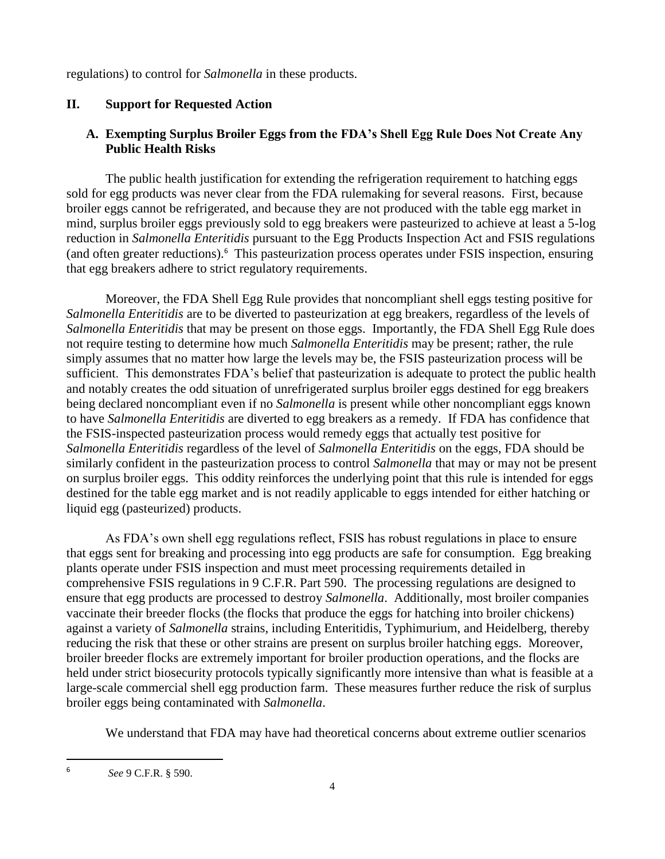regulations) to control for *Salmonella* in these products.

# **II. Support for Requested Action**

# **A. Exempting Surplus Broiler Eggs from the FDA's Shell Egg Rule Does Not Create Any Public Health Risks**

(and often greater reductions).<sup>6</sup> This pasteurization process operates under FSIS inspection, ensuring The public health justification for extending the refrigeration requirement to hatching eggs sold for egg products was never clear from the FDA rulemaking for several reasons. First, because broiler eggs cannot be refrigerated, and because they are not produced with the table egg market in mind, surplus broiler eggs previously sold to egg breakers were pasteurized to achieve at least a 5-log reduction in *Salmonella Enteritidis* pursuant to the Egg Products Inspection Act and FSIS regulations that egg breakers adhere to strict regulatory requirements.

Moreover, the FDA Shell Egg Rule provides that noncompliant shell eggs testing positive for *Salmonella Enteritidis* are to be diverted to pasteurization at egg breakers, regardless of the levels of *Salmonella Enteritidis* that may be present on those eggs. Importantly, the FDA Shell Egg Rule does not require testing to determine how much *Salmonella Enteritidis* may be present; rather, the rule simply assumes that no matter how large the levels may be, the FSIS pasteurization process will be sufficient. This demonstrates FDA's belief that pasteurization is adequate to protect the public health and notably creates the odd situation of unrefrigerated surplus broiler eggs destined for egg breakers being declared noncompliant even if no *Salmonella* is present while other noncompliant eggs known to have *Salmonella Enteritidis* are diverted to egg breakers as a remedy. If FDA has confidence that the FSIS-inspected pasteurization process would remedy eggs that actually test positive for *Salmonella Enteritidis* regardless of the level of *Salmonella Enteritidis* on the eggs, FDA should be similarly confident in the pasteurization process to control *Salmonella* that may or may not be present on surplus broiler eggs. This oddity reinforces the underlying point that this rule is intended for eggs destined for the table egg market and is not readily applicable to eggs intended for either hatching or liquid egg (pasteurized) products.

 held under strict biosecurity protocols typically significantly more intensive than what is feasible at a As FDA's own shell egg regulations reflect, FSIS has robust regulations in place to ensure that eggs sent for breaking and processing into egg products are safe for consumption. Egg breaking plants operate under FSIS inspection and must meet processing requirements detailed in comprehensive FSIS regulations in 9 C.F.R. Part 590. The processing regulations are designed to ensure that egg products are processed to destroy *Salmonella*. Additionally, most broiler companies vaccinate their breeder flocks (the flocks that produce the eggs for hatching into broiler chickens) against a variety of *Salmonella* strains, including Enteritidis, Typhimurium, and Heidelberg, thereby reducing the risk that these or other strains are present on surplus broiler hatching eggs. Moreover, broiler breeder flocks are extremely important for broiler production operations, and the flocks are large-scale commercial shell egg production farm. These measures further reduce the risk of surplus broiler eggs being contaminated with *Salmonella*.

We understand that FDA may have had theoretical concerns about extreme outlier scenarios

 $\overline{\phantom{a}}$ 

 *See* 9 C.F.R. § 590. 6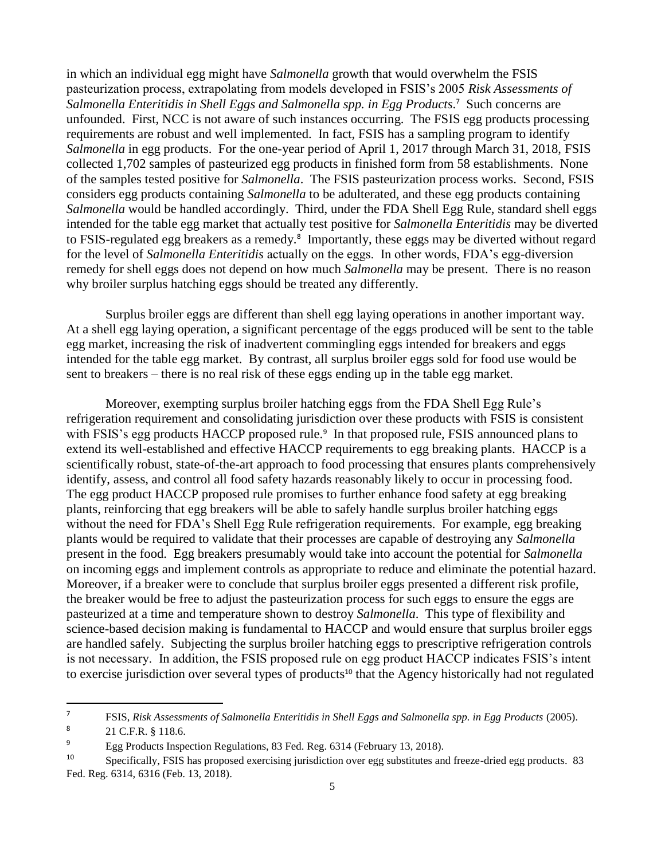Salmonella Enteritidis in Shell Eggs and Salmonella spp. in Egg Products.<sup>7</sup> Such concerns are to FSIS-regulated egg breakers as a remedy.<sup>8</sup> Importantly, these eggs may be diverted without regard in which an individual egg might have *Salmonella* growth that would overwhelm the FSIS pasteurization process, extrapolating from models developed in FSIS's 2005 *Risk Assessments of*  unfounded. First, NCC is not aware of such instances occurring. The FSIS egg products processing requirements are robust and well implemented. In fact, FSIS has a sampling program to identify *Salmonella* in egg products. For the one-year period of April 1, 2017 through March 31, 2018, FSIS collected 1,702 samples of pasteurized egg products in finished form from 58 establishments. None of the samples tested positive for *Salmonella*. The FSIS pasteurization process works. Second, FSIS considers egg products containing *Salmonella* to be adulterated, and these egg products containing *Salmonella* would be handled accordingly. Third, under the FDA Shell Egg Rule, standard shell eggs intended for the table egg market that actually test positive for *Salmonella Enteritidis* may be diverted for the level of *Salmonella Enteritidis* actually on the eggs. In other words, FDA's egg-diversion remedy for shell eggs does not depend on how much *Salmonella* may be present. There is no reason why broiler surplus hatching eggs should be treated any differently.

Surplus broiler eggs are different than shell egg laying operations in another important way. At a shell egg laying operation, a significant percentage of the eggs produced will be sent to the table egg market, increasing the risk of inadvertent commingling eggs intended for breakers and eggs intended for the table egg market. By contrast, all surplus broiler eggs sold for food use would be sent to breakers – there is no real risk of these eggs ending up in the table egg market.

with FSIS's egg products HACCP proposed rule.<sup>9</sup> In that proposed rule, FSIS announced plans to are handled safely. Subjecting the surplus broiler hatching eggs to prescriptive refrigeration controls Moreover, exempting surplus broiler hatching eggs from the FDA Shell Egg Rule's refrigeration requirement and consolidating jurisdiction over these products with FSIS is consistent extend its well-established and effective HACCP requirements to egg breaking plants. HACCP is a scientifically robust, state-of-the-art approach to food processing that ensures plants comprehensively identify, assess, and control all food safety hazards reasonably likely to occur in processing food. The egg product HACCP proposed rule promises to further enhance food safety at egg breaking plants, reinforcing that egg breakers will be able to safely handle surplus broiler hatching eggs without the need for FDA's Shell Egg Rule refrigeration requirements. For example, egg breaking plants would be required to validate that their processes are capable of destroying any *Salmonella*  present in the food. Egg breakers presumably would take into account the potential for *Salmonella*  on incoming eggs and implement controls as appropriate to reduce and eliminate the potential hazard. Moreover, if a breaker were to conclude that surplus broiler eggs presented a different risk profile, the breaker would be free to adjust the pasteurization process for such eggs to ensure the eggs are pasteurized at a time and temperature shown to destroy *Salmonella*. This type of flexibility and science-based decision making is fundamental to HACCP and would ensure that surplus broiler eggs is not necessary. In addition, the FSIS proposed rule on egg product HACCP indicates FSIS's intent to exercise jurisdiction over several types of products<sup>10</sup> that the Agency historically had not regulated

 $\overline{7}$ <sup>7</sup> FSIS, *Risk Assessments of Salmonella Enteritidis in Shell Eggs and Salmonella spp. in Egg Products (2005).* 

 $8 \t21 \t C.F.R. \t§ 118.6.$ 

<sup>&</sup>lt;sup>9</sup> Egg Products Inspection Regulations, 83 Fed. Reg. 6314 (February 13, 2018).

 $10$  Specifically, FSIS has proposed exercising jurisdiction over egg substitutes and freeze-dried egg products. 83 Fed. Reg. 6314, 6316 (Feb. 13, 2018).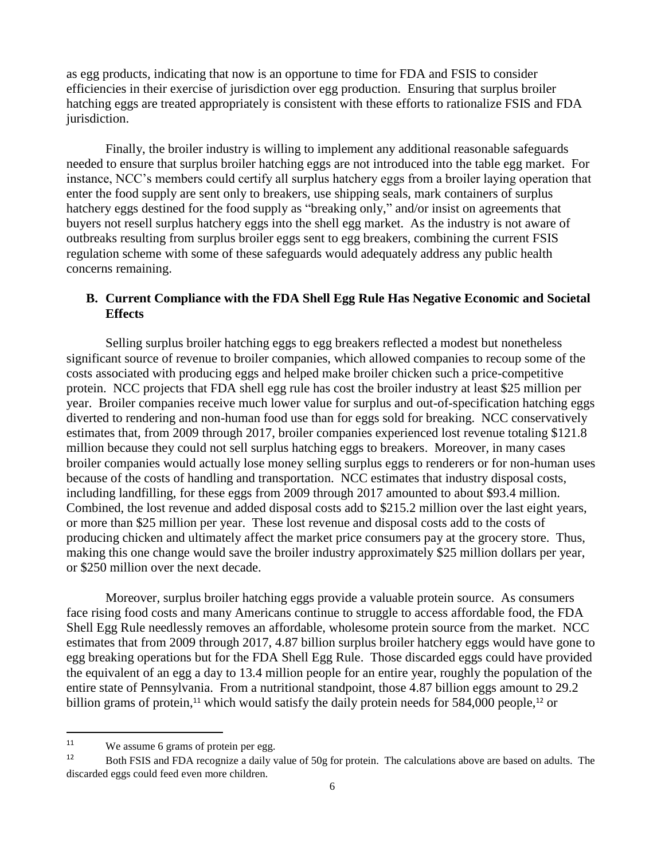as egg products, indicating that now is an opportune to time for FDA and FSIS to consider efficiencies in their exercise of jurisdiction over egg production. Ensuring that surplus broiler hatching eggs are treated appropriately is consistent with these efforts to rationalize FSIS and FDA jurisdiction.

Finally, the broiler industry is willing to implement any additional reasonable safeguards needed to ensure that surplus broiler hatching eggs are not introduced into the table egg market. For instance, NCC's members could certify all surplus hatchery eggs from a broiler laying operation that enter the food supply are sent only to breakers, use shipping seals, mark containers of surplus hatchery eggs destined for the food supply as "breaking only," and/or insist on agreements that buyers not resell surplus hatchery eggs into the shell egg market. As the industry is not aware of outbreaks resulting from surplus broiler eggs sent to egg breakers, combining the current FSIS regulation scheme with some of these safeguards would adequately address any public health concerns remaining.

## **B. Current Compliance with the FDA Shell Egg Rule Has Negative Economic and Societal Effects**

 protein. NCC projects that FDA shell egg rule has cost the broiler industry at least \$25 million per year. Broiler companies receive much lower value for surplus and out-of-specification hatching eggs including landfilling, for these eggs from 2009 through 2017 amounted to about \$93.4 million. or more than \$25 million per year. These lost revenue and disposal costs add to the costs of Selling surplus broiler hatching eggs to egg breakers reflected a modest but nonetheless significant source of revenue to broiler companies, which allowed companies to recoup some of the costs associated with producing eggs and helped make broiler chicken such a price-competitive diverted to rendering and non-human food use than for eggs sold for breaking. NCC conservatively estimates that, from 2009 through 2017, broiler companies experienced lost revenue totaling \$121.8 million because they could not sell surplus hatching eggs to breakers. Moreover, in many cases broiler companies would actually lose money selling surplus eggs to renderers or for non-human uses because of the costs of handling and transportation. NCC estimates that industry disposal costs, Combined, the lost revenue and added disposal costs add to \$215.2 million over the last eight years, producing chicken and ultimately affect the market price consumers pay at the grocery store. Thus, making this one change would save the broiler industry approximately \$25 million dollars per year, or \$250 million over the next decade.

 face rising food costs and many Americans continue to struggle to access affordable food, the FDA Moreover, surplus broiler hatching eggs provide a valuable protein source. As consumers Shell Egg Rule needlessly removes an affordable, wholesome protein source from the market. NCC estimates that from 2009 through 2017, 4.87 billion surplus broiler hatchery eggs would have gone to egg breaking operations but for the FDA Shell Egg Rule. Those discarded eggs could have provided the equivalent of an egg a day to 13.4 million people for an entire year, roughly the population of the entire state of Pennsylvania. From a nutritional standpoint, those 4.87 billion eggs amount to 29.2 billion grams of protein,<sup>11</sup> which would satisfy the daily protein needs for 584,000 people,<sup>12</sup> or

 $\overline{\phantom{a}}$ 

 $11$  We assume 6 grams of protein per egg.

<sup>&</sup>lt;sup>12</sup> Both FSIS and FDA recognize a daily value of 50g for protein. The calculations above are based on adults. The discarded eggs could feed even more children.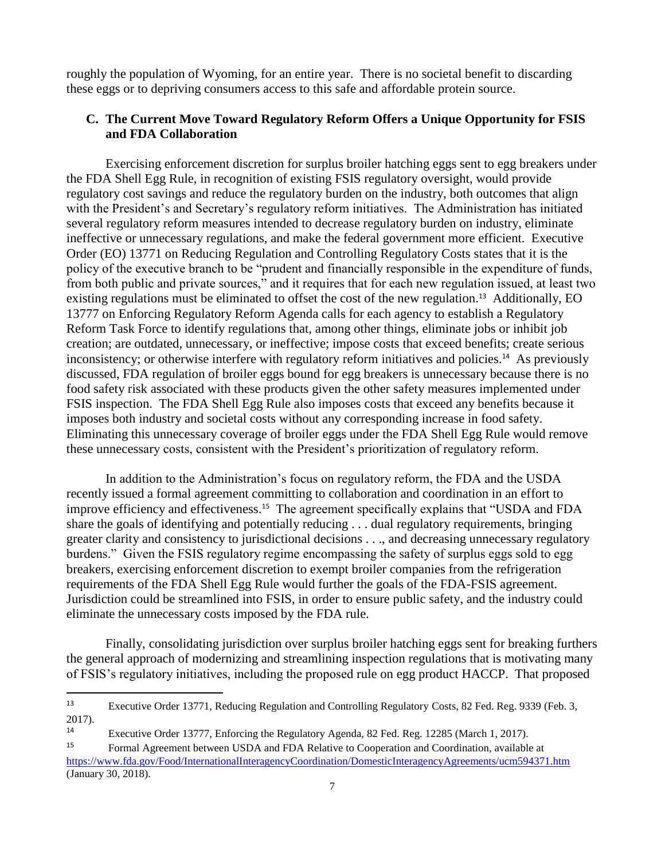roughly the population of Wyoming, for an entire year. There is no societal benefit to discarding these eggs or to depriving consumers access to this safe and affordable protein source.

## **C. The Current Move Toward Regulatory Reform Offers a Unique Opportunity for FSIS and FDA Collaboration**

existing regulations must be eliminated to offset the cost of the new regulation.<sup>13</sup> Additionally, EO inconsistency; or otherwise interfere with regulatory reform initiatives and policies.<sup>14</sup> As previously Exercising enforcement discretion for surplus broiler hatching eggs sent to egg breakers under the FDA Shell Egg Rule, in recognition of existing FSIS regulatory oversight, would provide regulatory cost savings and reduce the regulatory burden on the industry, both outcomes that align with the President's and Secretary's regulatory reform initiatives. The Administration has initiated several regulatory reform measures intended to decrease regulatory burden on industry, eliminate ineffective or unnecessary regulations, and make the federal government more efficient. Executive Order (EO) 13771 on Reducing Regulation and Controlling Regulatory Costs states that it is the policy of the executive branch to be "prudent and financially responsible in the expenditure of funds, from both public and private sources," and it requires that for each new regulation issued, at least two 13777 on Enforcing Regulatory Reform Agenda calls for each agency to establish a Regulatory Reform Task Force to identify regulations that, among other things, eliminate jobs or inhibit job creation; are outdated, unnecessary, or ineffective; impose costs that exceed benefits; create serious discussed, FDA regulation of broiler eggs bound for egg breakers is unnecessary because there is no food safety risk associated with these products given the other safety measures implemented under FSIS inspection. The FDA Shell Egg Rule also imposes costs that exceed any benefits because it imposes both industry and societal costs without any corresponding increase in food safety. Eliminating this unnecessary coverage of broiler eggs under the FDA Shell Egg Rule would remove these unnecessary costs, consistent with the President's prioritization of regulatory reform.

 In addition to the Administration's focus on regulatory reform, the FDA and the USDA improve efficiency and effectiveness.<sup>15</sup> The agreement specifically explains that "USDA and FDA recently issued a formal agreement committing to collaboration and coordination in an effort to share the goals of identifying and potentially reducing . . . dual regulatory requirements, bringing greater clarity and consistency to jurisdictional decisions . . ., and decreasing unnecessary regulatory burdens." Given the FSIS regulatory regime encompassing the safety of surplus eggs sold to egg breakers, exercising enforcement discretion to exempt broiler companies from the refrigeration requirements of the FDA Shell Egg Rule would further the goals of the FDA-FSIS agreement. Jurisdiction could be streamlined into FSIS, in order to ensure public safety, and the industry could eliminate the unnecessary costs imposed by the FDA rule.

Finally, consolidating jurisdiction over surplus broiler hatching eggs sent for breaking furthers the general approach of modernizing and streamlining inspection regulations that is motivating many of FSIS's regulatory initiatives, including the proposed rule on egg product HACCP. That proposed

l

<sup>&</sup>lt;sup>13</sup> Executive Order 13771, Reducing Regulation and Controlling Regulatory Costs, 82 Fed. Reg. 9339 (Feb. 3, 2017).

<sup>&</sup>lt;sup>14</sup> Executive Order 13777, Enforcing the Regulatory Agenda, 82 Fed. Reg. 12285 (March 1, 2017).

<sup>&</sup>lt;sup>15</sup> Formal Agreement between USDA and FDA Relative to Cooperation and Coordination, available at (January 30, 2018). <https://www.fda.gov/Food/InternationalInteragencyCoordination/DomesticInteragencyAgreements/ucm594371.htm>